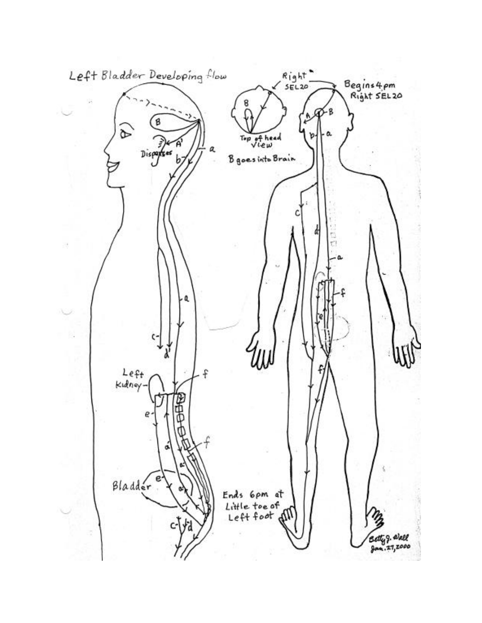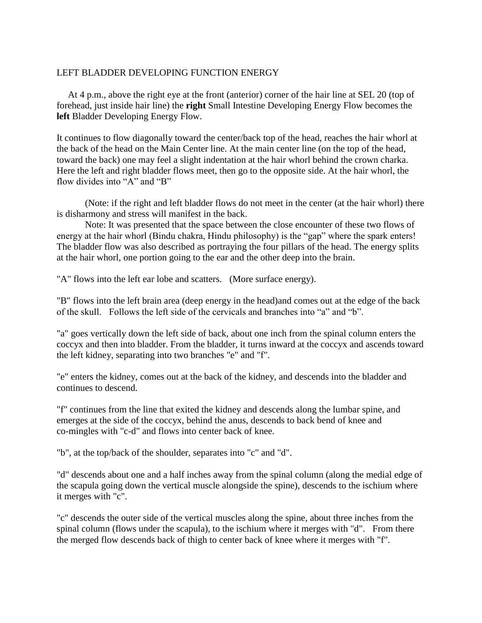## LEFT BLADDER DEVELOPING FUNCTION ENERGY

 At 4 p.m., above the right eye at the front (anterior) corner of the hair line at SEL 20 (top of forehead, just inside hair line) the **right** Small Intestine Developing Energy Flow becomes the **left** Bladder Developing Energy Flow.

It continues to flow diagonally toward the center/back top of the head, reaches the hair whorl at the back of the head on the Main Center line. At the main center line (on the top of the head, toward the back) one may feel a slight indentation at the hair whorl behind the crown charka. Here the left and right bladder flows meet, then go to the opposite side. At the hair whorl, the flow divides into "A" and "B"

(Note: if the right and left bladder flows do not meet in the center (at the hair whorl) there is disharmony and stress will manifest in the back.

Note: It was presented that the space between the close encounter of these two flows of energy at the hair whorl (Bindu chakra, Hindu philosophy) is the "gap" where the spark enters! The bladder flow was also described as portraying the four pillars of the head. The energy splits at the hair whorl, one portion going to the ear and the other deep into the brain.

"A" flows into the left ear lobe and scatters. (More surface energy).

"B" flows into the left brain area (deep energy in the head)and comes out at the edge of the back of the skull. Follows the left side of the cervicals and branches into "a" and "b".

"a" goes vertically down the left side of back, about one inch from the spinal column enters the coccyx and then into bladder. From the bladder, it turns inward at the coccyx and ascends toward the left kidney, separating into two branches "e" and "f".

"e" enters the kidney, comes out at the back of the kidney, and descends into the bladder and continues to descend.

"f" continues from the line that exited the kidney and descends along the lumbar spine, and emerges at the side of the coccyx, behind the anus, descends to back bend of knee and co-mingles with "c-d" and flows into center back of knee.

"b", at the top/back of the shoulder, separates into "c" and "d".

"d" descends about one and a half inches away from the spinal column (along the medial edge of the scapula going down the vertical muscle alongside the spine), descends to the ischium where it merges with "c".

"c" descends the outer side of the vertical muscles along the spine, about three inches from the spinal column (flows under the scapula), to the ischium where it merges with "d". From there the merged flow descends back of thigh to center back of knee where it merges with "f".